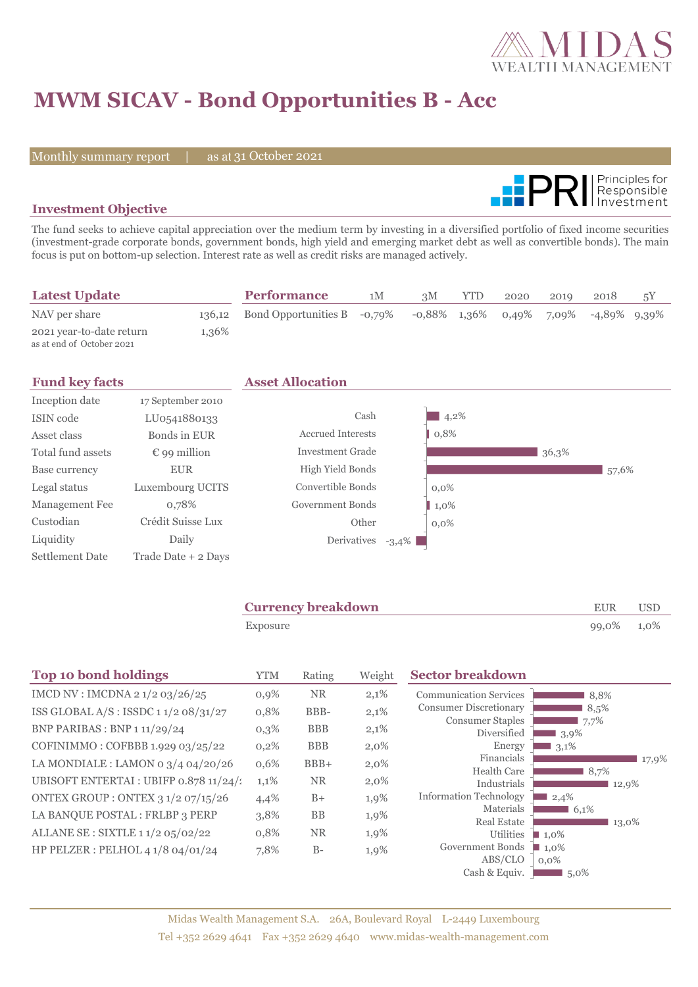

# **MWM SICAV - Bond Opportunities B - Acc**

Monthly summary report | as at 31 October 2021



### **Investment Objective**

The fund seeks to achieve capital appreciation over the medium term by investing in a diversified portfolio of fixed income securities (investment-grade corporate bonds, government bonds, high yield and emerging market debt as well as convertible bonds). The main focus is put on bottom-up selection. Interest rate as well as credit risks are managed actively.

| <b>Latest Update</b>                                  |       | <b>Performance</b>                 | 1M | 3M | <b>YTD</b> | 2020 | 2019 | 2018                                     | 5Ÿ |
|-------------------------------------------------------|-------|------------------------------------|----|----|------------|------|------|------------------------------------------|----|
| NAV per share                                         |       | 136.12 Bond Opportunities B -0.79% |    |    |            |      |      | $-0.88\%$ 1,36% 0.49% 7,09% -4,89% 9,39% |    |
| 2021 year-to-date return<br>as at end of October 2021 | 1,36% |                                    |    |    |            |      |      |                                          |    |

|                       | <b>Asset Allocation</b>  |         |
|-----------------------|--------------------------|---------|
| 17 September 2010     |                          |         |
| LU0541880133          | Cash                     | 4,2%    |
| Bonds in EUR          | <b>Accrued Interests</b> | 0,8%    |
| $\epsilon$ 99 million | Investment Grade         | 36,3%   |
| <b>EUR</b>            | High Yield Bonds         | 57,6%   |
| Luxembourg UCITS      | Convertible Bonds        | $0,0\%$ |
| 0,78%                 | Government Bonds         | $1,0\%$ |
| Crédit Suisse Lux     | Other                    | $0.0\%$ |
| Daily                 | Derivatives<br>$-3,4\%$  |         |
| Trade Date + 2 Days   |                          |         |
|                       |                          |         |

| <b>Currency breakdown</b> | <b>EUR</b> | <b>USD</b> |  |
|---------------------------|------------|------------|--|
| Exposure                  | 99,0% 1,0% |            |  |

| <b>Top 10 bond holdings</b>               | <b>YTM</b> | Rating     | Weight  | <b>Sector breakdown</b>                                         |
|-------------------------------------------|------------|------------|---------|-----------------------------------------------------------------|
| IMCD NV : IMCDNA 2 1/2 03/26/25           | 0,9%       | <b>NR</b>  | 2,1%    | <b>Communication Services</b><br>8,8%                           |
| ISS GLOBAL $A/S$ : ISSDC 11/2 08/31/27    | 0,8%       | BBB-       | 2,1%    | <b>Consumer Discretionary</b><br>8,5%                           |
| BNP PARIBAS : BNP 1 11/29/24              | 0,3%       | <b>BBB</b> | 2,1%    | <b>Consumer Staples</b><br>7,7%<br>Diversified<br>3,9%          |
| COFINIMMO: COFBBB 1.929 03/25/22          | $0,2\%$    | <b>BBB</b> | $2,0\%$ | Energy<br>3,1%                                                  |
| LA MONDIALE : LAMON 0 $3/4$ 04/20/26      | 0,6%       | $BBB+$     | $2,0\%$ | Financials<br>17,9%                                             |
| UBISOFT ENTERTAI : UBIFP 0.878 11/24/1    | 1,1%       | <b>NR</b>  | 2,0%    | <b>Health Care</b><br>8,7%<br>Industrials<br>12,9%              |
| <b>ONTEX GROUP : ONTEX 3 1/2 07/15/26</b> | 4,4%       | $B+$       | 1,9%    | <b>Information Technology</b><br>2,4%                           |
| LA BANQUE POSTAL : FRLBP 3 PERP           | 3,8%       | <b>BB</b>  | 1,9%    | Materials<br>$6,1\%$                                            |
| ALLANE SE : SIXTLE 1 1/2 05/02/22         | 0,8%       | <b>NR</b>  | 1,9%    | <b>Real Estate</b><br>13,0%<br>Utilities<br>$\blacksquare$ 1,0% |
| HP PELZER : PELHOL 4 1/8 04/01/24         | 7,8%       | $B-$       | 1,9%    | Government Bonds<br>$\blacksquare$ 1,0%                         |
|                                           |            |            |         | ABS/CLO<br>$0.0\%$                                              |
|                                           |            |            |         | Cash & Equiv.<br>$5,0\%$                                        |